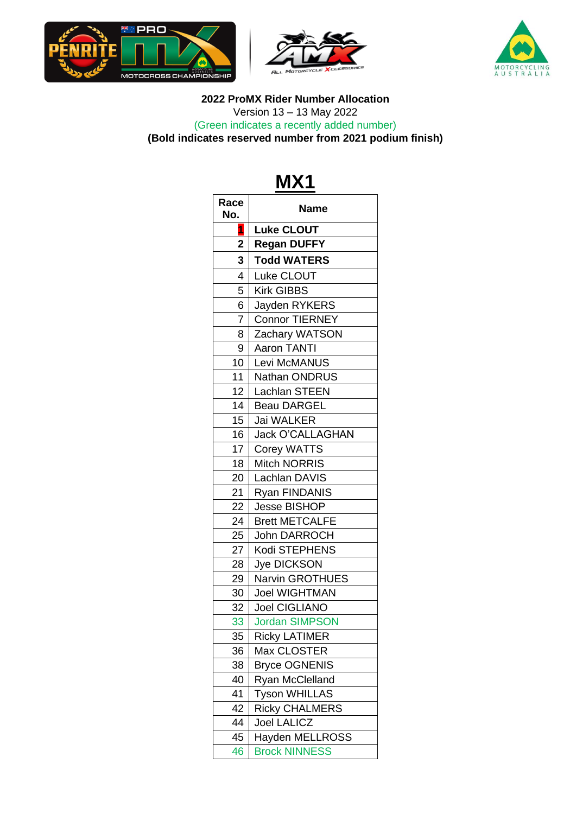





#### **Race No. Name 1 Luke CLOUT 2 Regan DUFFY 3 Todd WATERS** 4 | Luke CLOUT 5 | Kirk GIBBS 6 Jayden RYKERS 7 Connor TIERNEY 8 Zachary WATSON 9 Aaron TANTI 10 Levi McMANUS 11 | Nathan ONDRUS 12 Lachlan STEEN 14 | Beau DARGEL 15 Jai WALKER 16 Jack O'CALLAGHAN 17 Corey WATTS 18 Mitch NORRIS 20 Lachlan DAVIS 21 Ryan FINDANIS 22 Jesse BISHOP 24 | Brett METCALFE 25 John DARROCH 27 | Kodi STEPHENS 28 Jye DICKSON 29 | Narvin GROTHUES 30 Joel WIGHTMAN 32 Joel CIGLIANO 33 Jordan SIMPSON 35 Ricky LATIMER 36 Max CLOSTER 38 | Bryce OGNENIS 40 | Ryan McClelland 41 | Tyson WHILLAS 42 | Ricky CHALMERS 44 Joel LALICZ 45 Hayden MELLROSS

46 Brock NINNESS

#### **MX1**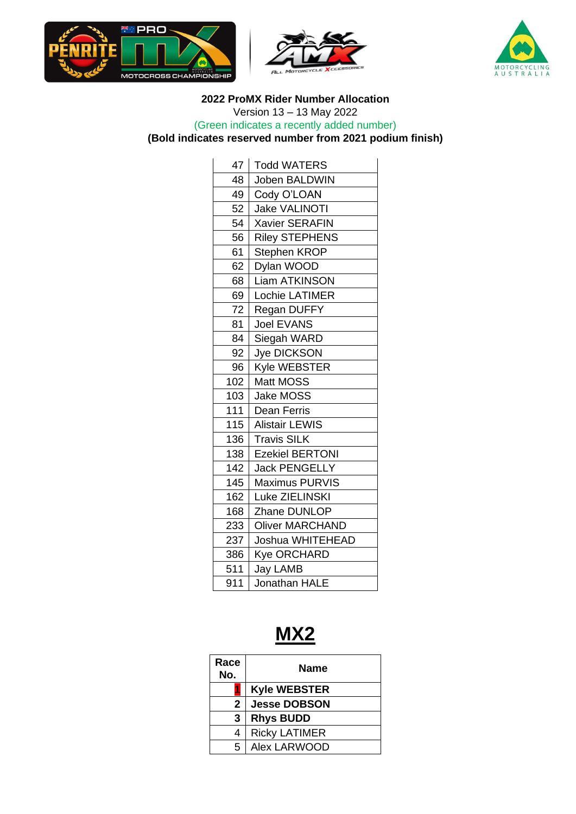





 **ProMX Rider Number Allocation** Version 13 – 13 May 2022 (Green indicates a recently added number)

**(Bold indicates reserved number from 2021 podium finish)**

| 47  | <b>Todd WATERS</b>     |
|-----|------------------------|
| 48  | Joben BALDWIN          |
|     |                        |
| 49  | Cody O'LOAN            |
| 52  | <b>Jake VALINOTI</b>   |
| 54  | <b>Xavier SERAFIN</b>  |
| 56  | <b>Riley STEPHENS</b>  |
| 61  | Stephen KROP           |
| 62  | Dylan WOOD             |
| 68  | <b>Liam ATKINSON</b>   |
| 69  | Lochie LATIMER         |
| 72  | Regan DUFFY            |
| 81  | <b>Joel EVANS</b>      |
| 84  | Siegah WARD            |
| 92  | Jye DICKSON            |
| 96  | Kyle WEBSTER           |
| 102 | Matt MOSS              |
| 103 | <b>Jake MOSS</b>       |
| 111 | <b>Dean Ferris</b>     |
| 115 | <b>Alistair LEWIS</b>  |
| 136 | <b>Travis SILK</b>     |
| 138 | <b>Ezekiel BERTONI</b> |
| 142 | <b>Jack PENGELLY</b>   |
| 145 | <b>Maximus PURVIS</b>  |
| 162 | Luke ZIELINSKI         |
| 168 | Zhane DUNLOP           |
| 233 | <b>Oliver MARCHAND</b> |
| 237 | Joshua WHITEHEAD       |
| 386 | <b>Kye ORCHARD</b>     |
| 511 | Jay LAMB               |
| 911 | Jonathan HALE          |
|     |                        |

## **MX2**

| Race<br>No. | <b>Name</b>          |
|-------------|----------------------|
|             | <b>Kyle WEBSTER</b>  |
| 2           | <b>Jesse DOBSON</b>  |
| 3           | <b>Rhys BUDD</b>     |
| 4           | <b>Ricky LATIMER</b> |
| 5           | Alex LARWOOD         |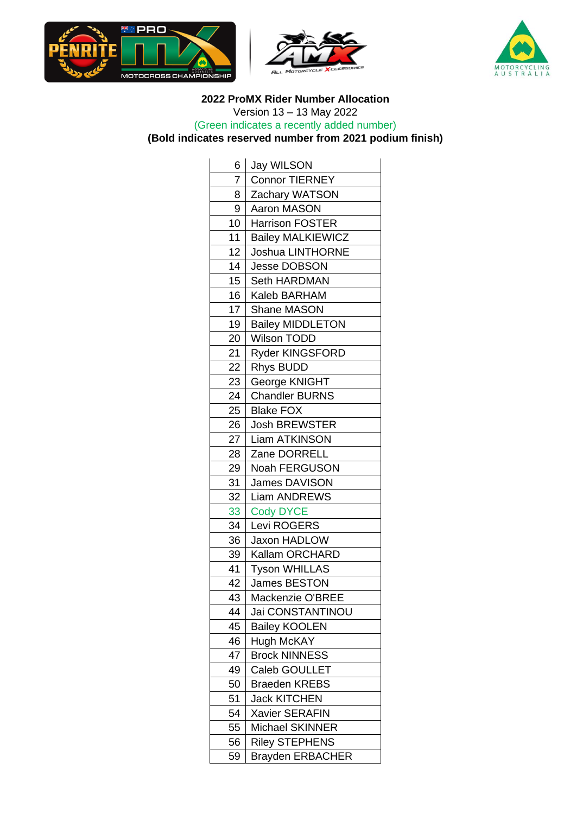





| 6              | Jay WILSON               |
|----------------|--------------------------|
| $\overline{7}$ | <b>Connor TIERNEY</b>    |
| 8              | Zachary WATSON           |
| 9              | Aaron MASON              |
| 10             | <b>Harrison FOSTER</b>   |
| 11             | <b>Bailey MALKIEWICZ</b> |
| 12             | <b>Joshua LINTHORNE</b>  |
| 14             | <b>Jesse DOBSON</b>      |
| 15             | Seth HARDMAN             |
| 16             | Kaleb BARHAM             |
| 17             | <b>Shane MASON</b>       |
| 19             | <b>Bailey MIDDLETON</b>  |
| 20             | Wilson TODD              |
| 21             | Ryder KINGSFORD          |
| 22             | <b>Rhys BUDD</b>         |
| 23             | George KNIGHT            |
| 24             | <b>Chandler BURNS</b>    |
| 25             | <b>Blake FOX</b>         |
| 26             | <b>Josh BREWSTER</b>     |
| 27             | <b>Liam ATKINSON</b>     |
| 28             | Zane DORRELL             |
| 29             | Noah FERGUSON            |
| 31             | <b>James DAVISON</b>     |
| 32             | <b>Liam ANDREWS</b>      |
| 33             | <b>Cody DYCE</b>         |
| 34             | Levi ROGERS              |
| 36             | Jaxon HADLOW             |
| 39             | Kallam ORCHARD           |
| 41             | <b>Tyson WHILLAS</b>     |
| 42             | James BESTON             |
| 43             | Mackenzie O'BREE         |
| 44             | Jai CONSTANTINOU         |
| 45             | <b>Bailey KOOLEN</b>     |
| 46             | <b>Hugh McKAY</b>        |
| 47             | <b>Brock NINNESS</b>     |
| 49             | Caleb GOULLET            |
| 50             | <b>Braeden KREBS</b>     |
| 51             | <b>Jack KITCHEN</b>      |
| 54             | <b>Xavier SERAFIN</b>    |
| 55             | Michael SKINNER          |
| 56             | <b>Riley STEPHENS</b>    |
| 59             | <b>Brayden ERBACHER</b>  |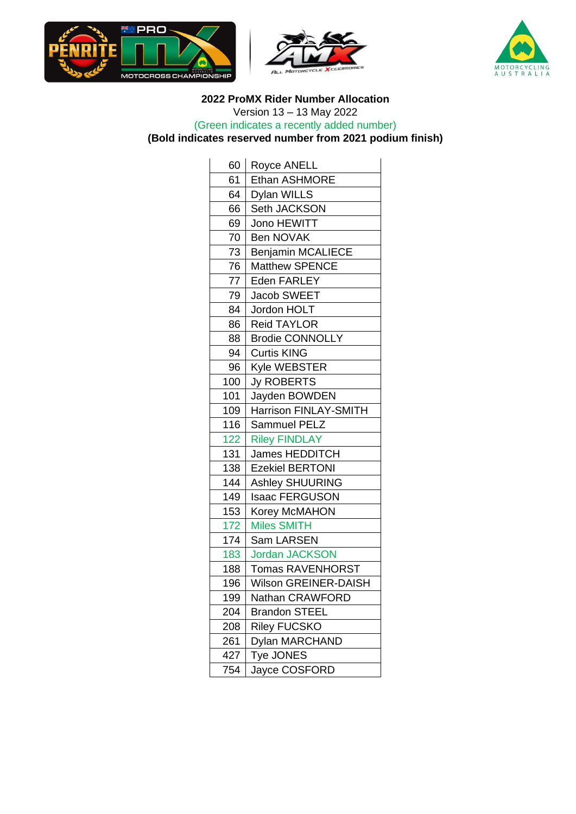





| 60  | Royce ANELL              |
|-----|--------------------------|
| 61  | <b>Ethan ASHMORE</b>     |
| 64  | <b>Dylan WILLS</b>       |
| 66  | Seth JACKSON             |
| 69  | Jono HEWITT              |
| 70  | <b>Ben NOVAK</b>         |
| 73  | <b>Benjamin MCALIECE</b> |
| 76  | <b>Matthew SPENCE</b>    |
| 77  | Eden FARLEY              |
| 79  | Jacob SWEET              |
| 84  | Jordon HOLT              |
| 86  | <b>Reid TAYLOR</b>       |
| 88  | <b>Brodie CONNOLLY</b>   |
| 94  | <b>Curtis KING</b>       |
| 96  | <b>Kyle WEBSTER</b>      |
| 100 | <b>Jy ROBERTS</b>        |
| 101 | Jayden BOWDEN            |
| 109 | Harrison FINLAY-SMITH    |
| 116 | <b>Sammuel PELZ</b>      |
| 122 | <b>Riley FINDLAY</b>     |
| 131 | <b>James HEDDITCH</b>    |
| 138 | <b>Ezekiel BERTONI</b>   |
| 144 | <b>Ashley SHUURING</b>   |
| 149 | <b>Isaac FERGUSON</b>    |
| 153 | Korey McMAHON            |
| 172 | <b>Miles SMITH</b>       |
| 174 | Sam LARSEN               |
| 183 | <b>Jordan JACKSON</b>    |
| 188 | Tomas RAVENHORST         |
| 196 | Wilson GREINER-DAISH     |
| 199 | Nathan CRAWFORD          |
| 204 | <b>Brandon STEEL</b>     |
| 208 | <b>Riley FUCSKO</b>      |
| 261 | <b>Dylan MARCHAND</b>    |
| 427 | Tye JONES                |
| 754 | Jayce COSFORD            |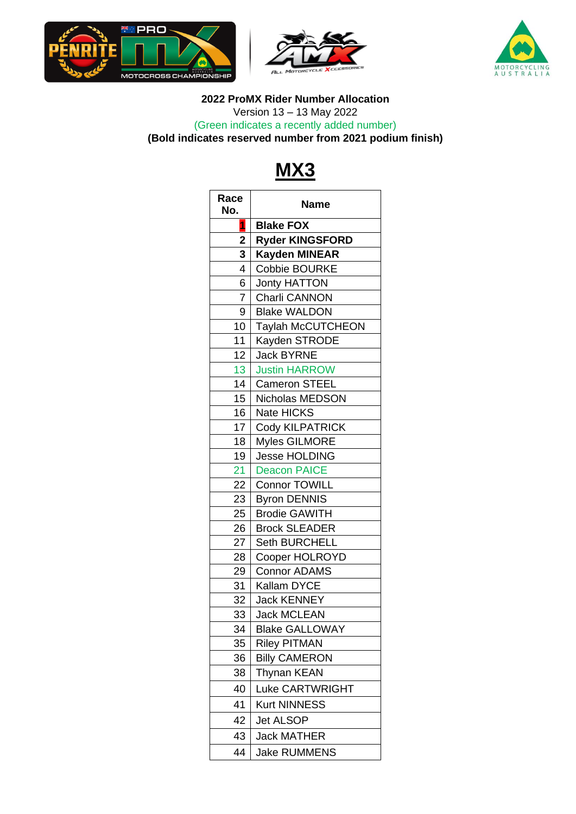





## **MX3**

| Race<br>No.    | Name                     |
|----------------|--------------------------|
| 1              | <b>Blake FOX</b>         |
| $\overline{2}$ | <b>Ryder KINGSFORD</b>   |
| 3              | <b>Kayden MINEAR</b>     |
| 4              | Cobbie BOURKE            |
| 6              | <b>Jonty HATTON</b>      |
| $\overline{7}$ | <b>Charli CANNON</b>     |
| 9              | <b>Blake WALDON</b>      |
| 10             | <b>Taylah McCUTCHEON</b> |
| 11             | Kayden STRODE            |
| 12             | <b>Jack BYRNE</b>        |
| 13             | <b>Justin HARROW</b>     |
| 14             | <b>Cameron STEEL</b>     |
| 15             | Nicholas MEDSON          |
| 16             | Nate HICKS               |
| 17             | Cody KILPATRICK          |
| 18             | <b>Myles GILMORE</b>     |
| 19             | Jesse HOLDING            |
| 21             | <b>Deacon PAICE</b>      |
| 22             | <b>Connor TOWILL</b>     |
| 23             | <b>Byron DENNIS</b>      |
| 25             | <b>Brodie GAWITH</b>     |
| 26             | <b>Brock SLEADER</b>     |
| 27             | <b>Seth BURCHELL</b>     |
| 28             | Cooper HOLROYD           |
| 29             | <b>Connor ADAMS</b>      |
| 31             | Kallam DYCE              |
| 32             | <b>Jack KENNEY</b>       |
| 33             | <b>Jack MCLEAN</b>       |
| 34             | <b>Blake GALLOWAY</b>    |
| 35             | <b>Riley PITMAN</b>      |
| 36             | <b>Billy CAMERON</b>     |
| 38             | Thynan KEAN              |
| 40             | <b>Luke CARTWRIGHT</b>   |
| 41             | <b>Kurt NINNESS</b>      |
| 42             | <b>Jet ALSOP</b>         |
| 43             | <b>Jack MATHER</b>       |
| 44             | <b>Jake RUMMENS</b>      |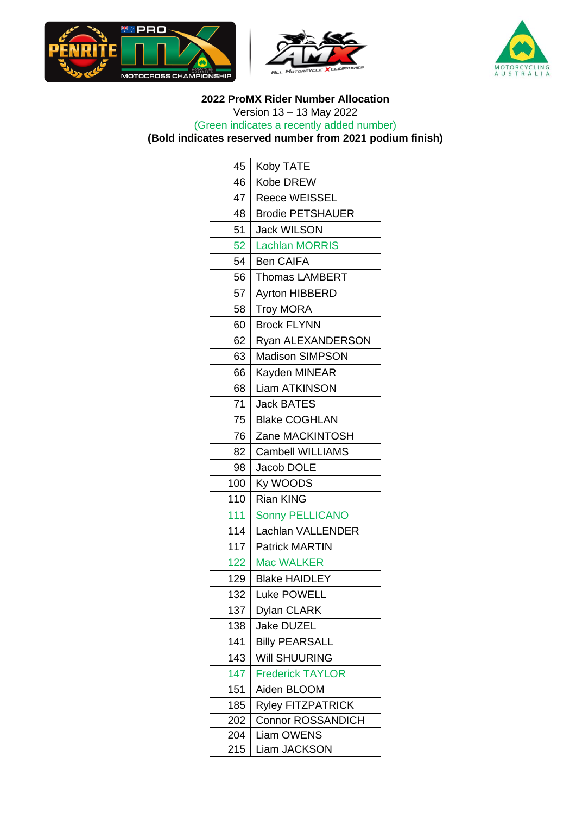





| 45  | Koby TATE                |
|-----|--------------------------|
| 46  | Kobe DREW                |
| 47  | <b>Reece WEISSEL</b>     |
| 48  | <b>Brodie PETSHAUER</b>  |
| 51  | <b>Jack WILSON</b>       |
| 52  | <b>Lachlan MORRIS</b>    |
| 54  | <b>Ben CAIFA</b>         |
| 56  | <b>Thomas LAMBERT</b>    |
| 57  | <b>Ayrton HIBBERD</b>    |
| 58  | <b>Troy MORA</b>         |
| 60  | <b>Brock FLYNN</b>       |
| 62  | Ryan ALEXANDERSON        |
| 63  | <b>Madison SIMPSON</b>   |
| 66  | Kayden MINEAR            |
| 68  | <b>Liam ATKINSON</b>     |
| 71  | <b>Jack BATES</b>        |
| 75  | <b>Blake COGHLAN</b>     |
| 76  | Zane MACKINTOSH          |
| 82  | <b>Cambell WILLIAMS</b>  |
| 98  | Jacob DOLE               |
| 100 | Ky WOODS                 |
| 110 | <b>Rian KING</b>         |
| 111 | <b>Sonny PELLICANO</b>   |
| 114 | Lachlan VALLENDER        |
| 117 | <b>Patrick MARTIN</b>    |
| 122 | <b>Mac WALKER</b>        |
| 129 | <b>Blake HAIDLEY</b>     |
| 132 | <b>Luke POWELL</b>       |
| 137 | Dylan CLARK              |
| 138 | Jake DUZEL               |
| 141 | <b>Billy PEARSALL</b>    |
| 143 | Will SHUURING            |
| 147 | <b>Frederick TAYLOR</b>  |
| 151 | Aiden BLOOM              |
| 185 | <b>Ryley FITZPATRICK</b> |
| 202 | <b>Connor ROSSANDICH</b> |
| 204 | <b>Liam OWENS</b>        |
| 215 | Liam JACKSON             |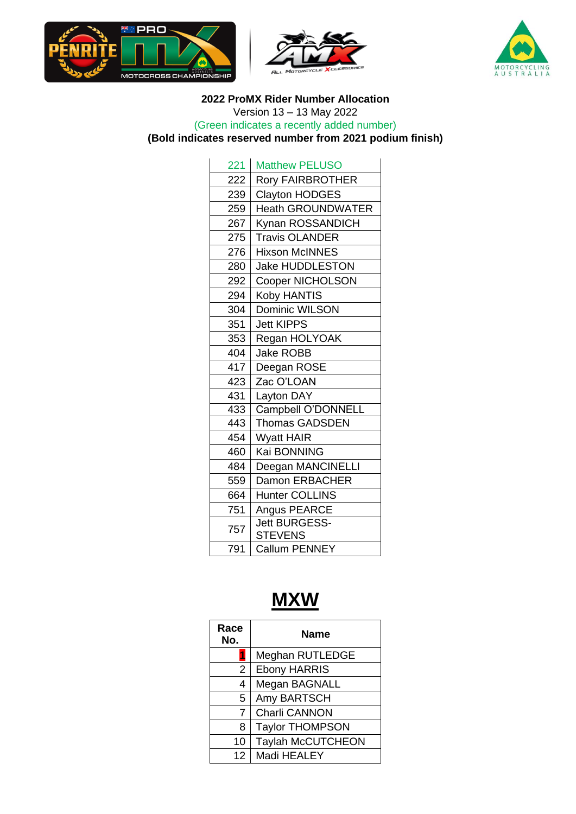





| 221 | <b>Matthew PELUSO</b>                  |
|-----|----------------------------------------|
|     |                                        |
| 222 | <b>Rory FAIRBROTHER</b>                |
| 239 | Clayton HODGES                         |
| 259 | <b>Heath GROUNDWATER</b>               |
| 267 | Kynan ROSSANDICH                       |
| 275 | <b>Travis OLANDER</b>                  |
| 276 | <b>Hixson McINNES</b>                  |
| 280 | <b>Jake HUDDLESTON</b>                 |
| 292 | <b>Cooper NICHOLSON</b>                |
| 294 | <b>Koby HANTIS</b>                     |
| 304 | Dominic WILSON                         |
| 351 | <b>Jett KIPPS</b>                      |
| 353 | Regan HOLYOAK                          |
| 404 | <b>Jake ROBB</b>                       |
| 417 | Deegan ROSE                            |
| 423 | Zac O'LOAN                             |
| 431 | Layton DAY                             |
| 433 | Campbell O'DONNELL                     |
| 443 | <b>Thomas GADSDEN</b>                  |
| 454 | <b>Wyatt HAIR</b>                      |
| 460 | Kai BONNING                            |
| 484 | Deegan MANCINELLI                      |
| 559 | Damon ERBACHER                         |
| 664 | <b>Hunter COLLINS</b>                  |
| 751 | Angus PEARCE                           |
| 757 | <b>Jett BURGESS-</b><br><b>STEVENS</b> |
| 791 | <b>Callum PENNEY</b>                   |

# **MXW**

| Race<br>No.     | Name                     |
|-----------------|--------------------------|
|                 | Meghan RUTLEDGE          |
| $\overline{2}$  | <b>Ebony HARRIS</b>      |
| 4               | Megan BAGNALL            |
| 5.              | Amy BARTSCH              |
| $\overline{7}$  | Charli CANNON            |
| 8               | <b>Taylor THOMPSON</b>   |
| 10              | <b>Taylah McCUTCHEON</b> |
| 12 <sup>°</sup> | Madi HEALEY              |